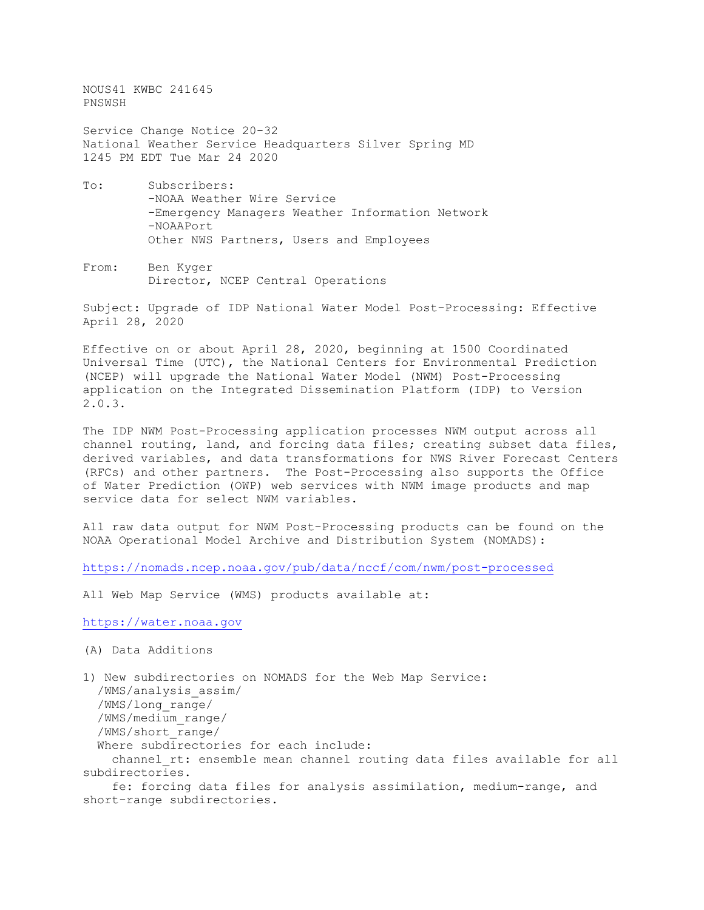NOUS41 KWBC 241645 PNSWSH Service Change Notice 20-32 National Weather Service Headquarters Silver Spring MD 1245 PM EDT Tue Mar 24 2020 To: Subscribers: -NOAA Weather Wire Service -Emergency Managers Weather Information Network

Other NWS Partners, Users and Employees

From: Ben Kyger Director, NCEP Central Operations

-NOAAPort

Subject: Upgrade of IDP National Water Model Post-Processing: Effective April 28, 2020

Effective on or about April 28, 2020, beginning at 1500 Coordinated Universal Time (UTC), the National Centers for Environmental Prediction (NCEP) will upgrade the National Water Model (NWM) Post-Processing application on the Integrated Dissemination Platform (IDP) to Version 2.0.3.

The IDP NWM Post-Processing application processes NWM output across all channel routing, land, and forcing data files; creating subset data files, derived variables, and data transformations for NWS River Forecast Centers (RFCs) and other partners. The Post-Processing also supports the Office of Water Prediction (OWP) web services with NWM image products and map service data for select NWM variables.

All raw data output for NWM Post-Processing products can be found on the NOAA Operational Model Archive and Distribution System (NOMADS):

<https://nomads.ncep.noaa.gov/pub/data/nccf/com/nwm/post-processed>

All Web Map Service (WMS) products available at:

[https://water.noaa.gov](https://water.noaa.gov/)

```
(A) Data Additions
```

```
1) New subdirectories on NOMADS for the Web Map Service:
  /WMS/analysis_assim/
  /WMS/long_range/
  /WMS/medium_range/
   /WMS/short_range/
  Where subdirectories for each include:
    channel rt: ensemble mean channel routing data files available for all
subdirectories.
```
 fe: forcing data files for analysis assimilation, medium-range, and short-range subdirectories.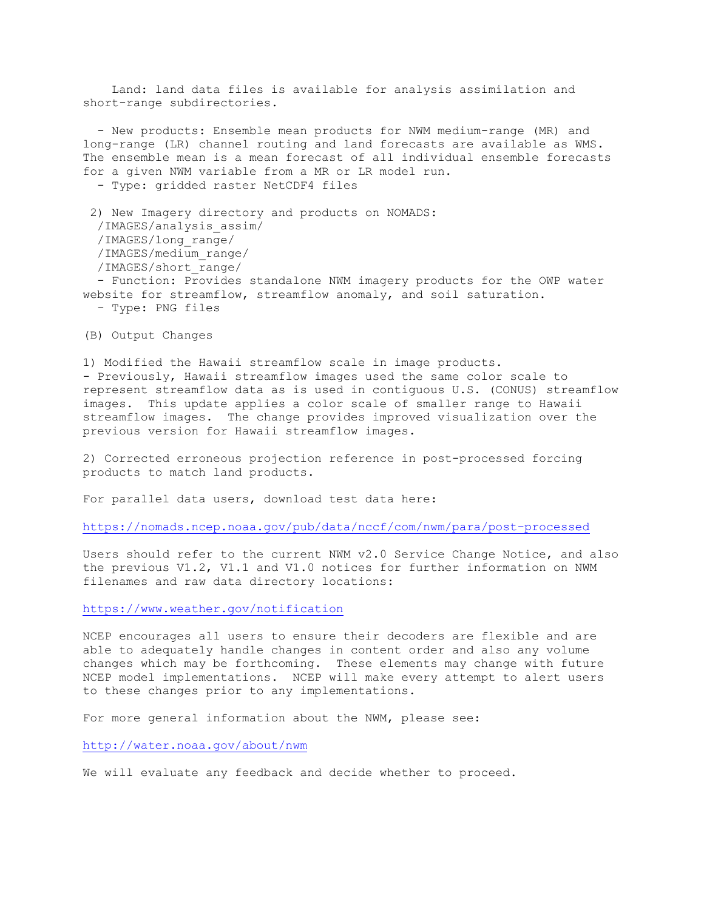Land: land data files is available for analysis assimilation and short-range subdirectories.

 - New products: Ensemble mean products for NWM medium-range (MR) and long-range (LR) channel routing and land forecasts are available as WMS. The ensemble mean is a mean forecast of all individual ensemble forecasts for a given NWM variable from a MR or LR model run. - Type: gridded raster NetCDF4 files 2) New Imagery directory and products on NOMADS: /IMAGES/analysis\_assim/ /IMAGES/long\_range/ /IMAGES/medium\_range/ /IMAGES/short\_range/

 - Function: Provides standalone NWM imagery products for the OWP water website for streamflow, streamflow anomaly, and soil saturation. - Type: PNG files

(B) Output Changes

1) Modified the Hawaii streamflow scale in image products. - Previously, Hawaii streamflow images used the same color scale to represent streamflow data as is used in contiguous U.S. (CONUS) streamflow images. This update applies a color scale of smaller range to Hawaii streamflow images. The change provides improved visualization over the previous version for Hawaii streamflow images.

2) Corrected erroneous projection reference in post-processed forcing products to match land products.

For parallel data users, download test data here:

<https://nomads.ncep.noaa.gov/pub/data/nccf/com/nwm/para/post-processed>

Users should refer to the current NWM v2.0 Service Change Notice, and also the previous V1.2, V1.1 and V1.0 notices for further information on NWM filenames and raw data directory locations:

<https://www.weather.gov/notification>

NCEP encourages all users to ensure their decoders are flexible and are able to adequately handle changes in content order and also any volume changes which may be forthcoming. These elements may change with future NCEP model implementations. NCEP will make every attempt to alert users to these changes prior to any implementations.

For more general information about the NWM, please see:

<http://water.noaa.gov/about/nwm>

We will evaluate any feedback and decide whether to proceed.